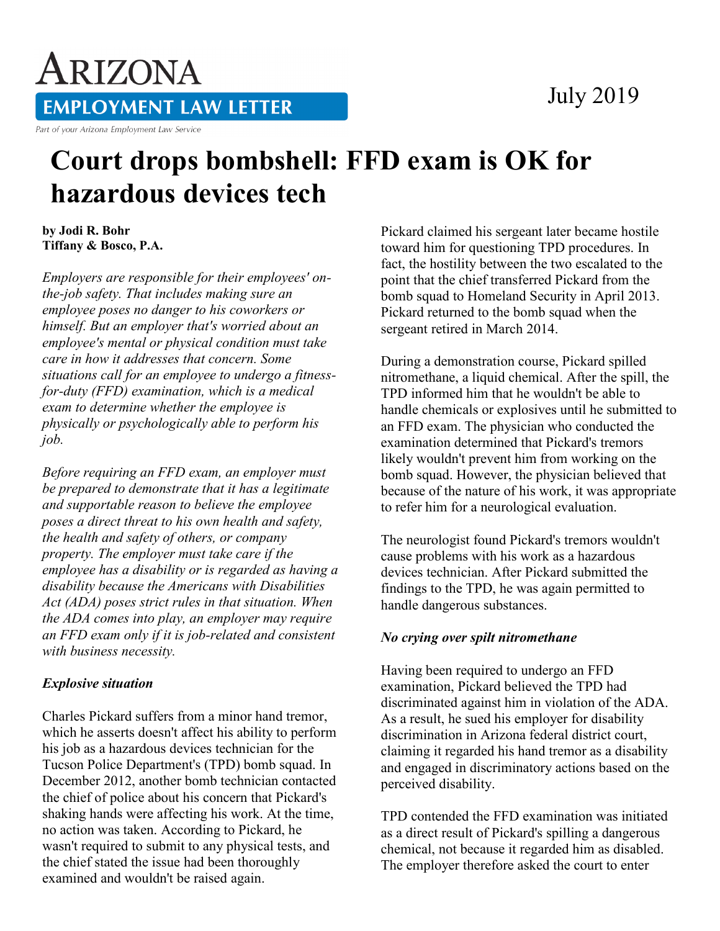### July 2019

# ARIZONA **EMPLOYMENT LAW LETTER**

Part of your Arizona Employment Law Service

## **Court drops bombshell: FFD exam is OK for hazardous devices tech**

**by Jodi R. Bohr Tiffany & Bosco, P.A.** 

*Employers are responsible for their employees' onthe-job safety. That includes making sure an employee poses no danger to his coworkers or himself. But an employer that's worried about an employee's mental or physical condition must take care in how it addresses that concern. Some situations call for an employee to undergo a fitnessfor-duty (FFD) examination, which is a medical exam to determine whether the employee is physically or psychologically able to perform his job.*

*Before requiring an FFD exam, an employer must be prepared to demonstrate that it has a legitimate and supportable reason to believe the employee poses a direct threat to his own health and safety, the health and safety of others, or company property. The employer must take care if the employee has a disability or is regarded as having a disability because the Americans with Disabilities Act (ADA) poses strict rules in that situation. When the ADA comes into play, an employer may require an FFD exam only if it is job-related and consistent with business necessity.*

#### *Explosive situation*

Charles Pickard suffers from a minor hand tremor, which he asserts doesn't affect his ability to perform his job as a hazardous devices technician for the Tucson Police Department's (TPD) bomb squad. In December 2012, another bomb technician contacted the chief of police about his concern that Pickard's shaking hands were affecting his work. At the time, no action was taken. According to Pickard, he wasn't required to submit to any physical tests, and the chief stated the issue had been thoroughly examined and wouldn't be raised again.

Pickard claimed his sergeant later became hostile toward him for questioning TPD procedures. In fact, the hostility between the two escalated to the point that the chief transferred Pickard from the bomb squad to Homeland Security in April 2013. Pickard returned to the bomb squad when the sergeant retired in March 2014.

During a demonstration course, Pickard spilled nitromethane, a liquid chemical. After the spill, the TPD informed him that he wouldn't be able to handle chemicals or explosives until he submitted to an FFD exam. The physician who conducted the examination determined that Pickard's tremors likely wouldn't prevent him from working on the bomb squad. However, the physician believed that because of the nature of his work, it was appropriate to refer him for a neurological evaluation.

The neurologist found Pickard's tremors wouldn't cause problems with his work as a hazardous devices technician. After Pickard submitted the findings to the TPD, he was again permitted to handle dangerous substances.

#### *No crying over spilt nitromethane*

Having been required to undergo an FFD examination, Pickard believed the TPD had discriminated against him in violation of the ADA. As a result, he sued his employer for disability discrimination in Arizona federal district court, claiming it regarded his hand tremor as a disability and engaged in discriminatory actions based on the perceived disability.

TPD contended the FFD examination was initiated as a direct result of Pickard's spilling a dangerous chemical, not because it regarded him as disabled. The employer therefore asked the court to enter